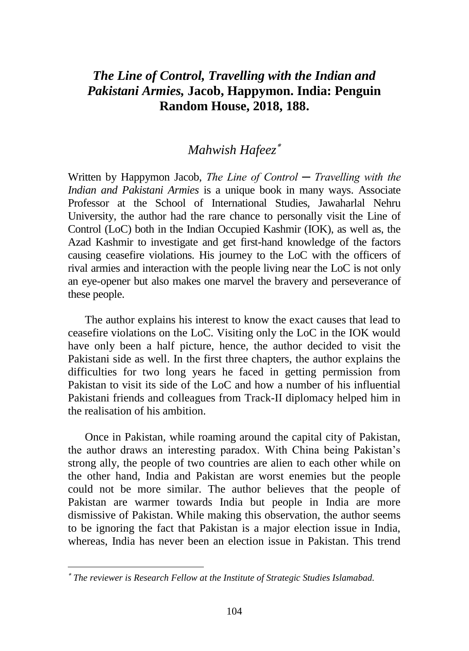## *The Line of Control, Travelling with the Indian and Pakistani Armies,* **Jacob, Happymon. India: Penguin Random House, 2018, 188.**

# *Mahwish Hafeez*

Written by Happymon Jacob, *The Line of Control ─ Travelling with the Indian and Pakistani Armies* is a unique book in many ways. Associate Professor at the School of International Studies, Jawaharlal Nehru University, the author had the rare chance to personally visit the Line of Control (LoC) both in the Indian Occupied Kashmir (IOK), as well as, the Azad Kashmir to investigate and get first-hand knowledge of the factors causing ceasefire violations. His journey to the LoC with the officers of rival armies and interaction with the people living near the LoC is not only an eye-opener but also makes one marvel the bravery and perseverance of these people.

The author explains his interest to know the exact causes that lead to ceasefire violations on the LoC. Visiting only the LoC in the IOK would have only been a half picture, hence, the author decided to visit the Pakistani side as well. In the first three chapters, the author explains the difficulties for two long years he faced in getting permission from Pakistan to visit its side of the LoC and how a number of his influential Pakistani friends and colleagues from Track-II diplomacy helped him in the realisation of his ambition.

Once in Pakistan, while roaming around the capital city of Pakistan, the author draws an interesting paradox. With China being Pakistan's strong ally, the people of two countries are alien to each other while on the other hand, India and Pakistan are worst enemies but the people could not be more similar. The author believes that the people of Pakistan are warmer towards India but people in India are more dismissive of Pakistan. While making this observation, the author seems to be ignoring the fact that Pakistan is a major election issue in India, whereas, India has never been an election issue in Pakistan. This trend

*The reviewer is Research Fellow at the Institute of Strategic Studies Islamabad.*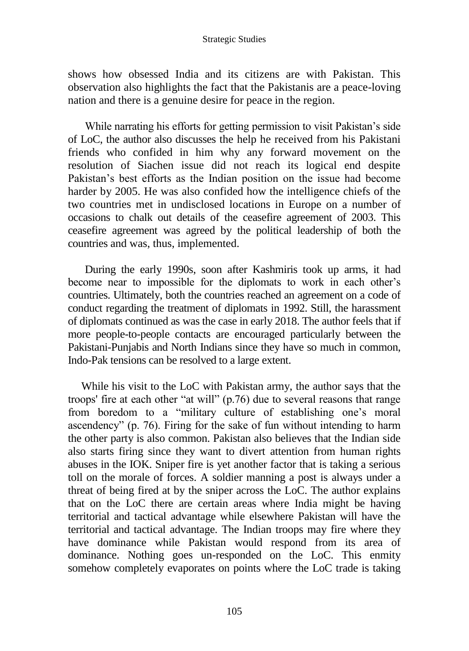#### Strategic Studies

shows how obsessed India and its citizens are with Pakistan. This observation also highlights the fact that the Pakistanis are a peace-loving nation and there is a genuine desire for peace in the region.

While narrating his efforts for getting permission to visit Pakistan's side of LoC, the author also discusses the help he received from his Pakistani friends who confided in him why any forward movement on the resolution of Siachen issue did not reach its logical end despite Pakistan's best efforts as the Indian position on the issue had become harder by 2005. He was also confided how the intelligence chiefs of the two countries met in undisclosed locations in Europe on a number of occasions to chalk out details of the ceasefire agreement of 2003. This ceasefire agreement was agreed by the political leadership of both the countries and was, thus, implemented.

During the early 1990s, soon after Kashmiris took up arms, it had become near to impossible for the diplomats to work in each other's countries. Ultimately, both the countries reached an agreement on a code of conduct regarding the treatment of diplomats in 1992. Still, the harassment of diplomats continued as was the case in early 2018. The author feels that if more people-to-people contacts are encouraged particularly between the Pakistani-Punjabis and North Indians since they have so much in common, Indo-Pak tensions can be resolved to a large extent.

While his visit to the LoC with Pakistan army, the author says that the troops' fire at each other "at will" (p.76) due to several reasons that range from boredom to a "military culture of establishing one's moral ascendency" (p. 76). Firing for the sake of fun without intending to harm the other party is also common. Pakistan also believes that the Indian side also starts firing since they want to divert attention from human rights abuses in the IOK. Sniper fire is yet another factor that is taking a serious toll on the morale of forces. A soldier manning a post is always under a threat of being fired at by the sniper across the LoC. The author explains that on the LoC there are certain areas where India might be having territorial and tactical advantage while elsewhere Pakistan will have the territorial and tactical advantage. The Indian troops may fire where they have dominance while Pakistan would respond from its area of dominance. Nothing goes un-responded on the LoC. This enmity somehow completely evaporates on points where the LoC trade is taking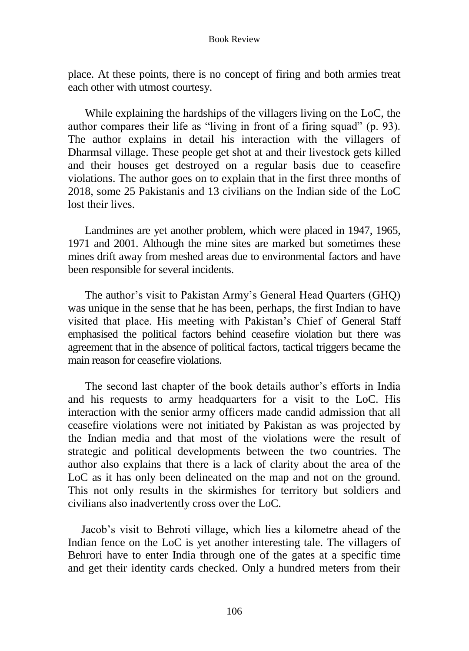#### Book Review

place. At these points, there is no concept of firing and both armies treat each other with utmost courtesy.

While explaining the hardships of the villagers living on the LoC, the author compares their life as "living in front of a firing squad" (p. 93). The author explains in detail his interaction with the villagers of Dharmsal village. These people get shot at and their livestock gets killed and their houses get destroyed on a regular basis due to ceasefire violations. The author goes on to explain that in the first three months of 2018, some 25 Pakistanis and 13 civilians on the Indian side of the LoC lost their lives.

Landmines are yet another problem, which were placed in 1947, 1965, 1971 and 2001. Although the mine sites are marked but sometimes these mines drift away from meshed areas due to environmental factors and have been responsible for several incidents.

The author's visit to Pakistan Army's General Head Quarters (GHQ) was unique in the sense that he has been, perhaps, the first Indian to have visited that place. His meeting with Pakistan's Chief of General Staff emphasised the political factors behind ceasefire violation but there was agreement that in the absence of political factors, tactical triggers became the main reason for ceasefire violations.

The second last chapter of the book details author's efforts in India and his requests to army headquarters for a visit to the LoC. His interaction with the senior army officers made candid admission that all ceasefire violations were not initiated by Pakistan as was projected by the Indian media and that most of the violations were the result of strategic and political developments between the two countries. The author also explains that there is a lack of clarity about the area of the LoC as it has only been delineated on the map and not on the ground. This not only results in the skirmishes for territory but soldiers and civilians also inadvertently cross over the LoC.

Jacob's visit to Behroti village, which lies a kilometre ahead of the Indian fence on the LoC is yet another interesting tale. The villagers of Behrori have to enter India through one of the gates at a specific time and get their identity cards checked. Only a hundred meters from their